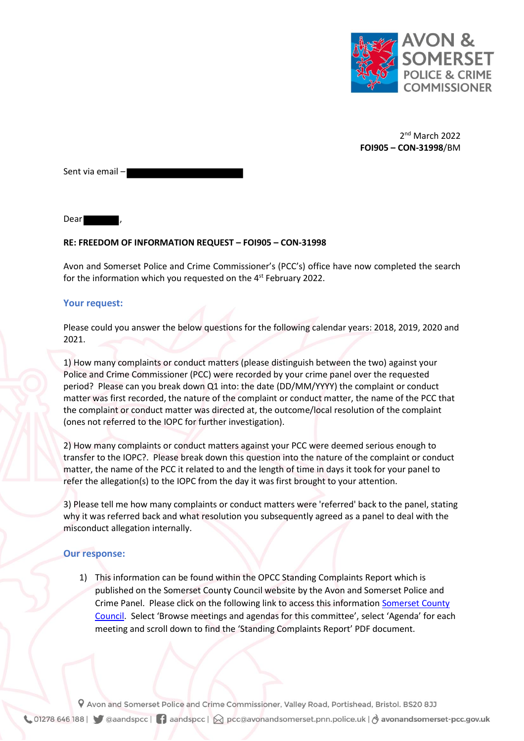

2 nd March 2022 **FOI905 – CON-31998**/BM

Sent via email –

Dear ,

## **RE: FREEDOM OF INFORMATION REQUEST – FOI905 – CON-31998**

Avon and Somerset Police and Crime Commissioner's (PCC's) office have now completed the search for the information which you requested on the  $4^\text{st}$  February 2022.

## **Your request:**

Please could you answer the below questions for the following calendar years: 2018, 2019, 2020 and 2021.

1) How many complaints or conduct matters (please distinguish between the two) against your Police and Crime Commissioner (PCC) were recorded by your crime panel over the requested period? Please can you break down Q1 into: the date (DD/MM/YYYY) the complaint or conduct matter was first recorded, the nature of the complaint or conduct matter, the name of the PCC that the complaint or conduct matter was directed at, the outcome/local resolution of the complaint (ones not referred to the IOPC for further investigation).

2) How many complaints or conduct matters against your PCC were deemed serious enough to transfer to the IOPC?. Please break down this question into the nature of the complaint or conduct matter, the name of the PCC it related to and the length of time in days it took for your panel to refer the allegation(s) to the IOPC from the day it was first brought to your attention.

3) Please tell me how many complaints or conduct matters were 'referred' back to the panel, stating why it was referred back and what resolution you subsequently agreed as a panel to deal with the misconduct allegation internally.

## **Our response:**

1) This information can be found within the OPCC Standing Complaints Report which is published on the Somerset County Council website by the Avon and Somerset Police and Crime Panel. Please click on the following link to access this informatio[n Somerset County](https://gbr01.safelinks.protection.outlook.com/?url=http%3A%2F%2Fdemocracy.somerset.gov.uk%2FmgCommitteeDetails.aspx%3FID%3D355&data=04%7C01%7CRebecca.Maye%40avonandsomerset.police.uk%7C8434ed2cddc84d6f123708d9f2e50ca0%7C2d72816c7e1f41c0a94847a8870ff33a%7C0%7C0%7C637807887851556780%7CUnknown%7CTWFpbGZsb3d8eyJWIjoiMC4wLjAwMDAiLCJQIjoiV2luMzIiLCJBTiI6Ik1haWwiLCJXVCI6Mn0%3D%7C3000&sdata=SeqGivU2qvcmSc5%2FIrG6LBhquL4xNgtcMwZKoE1riHI%3D&reserved=0) [Council.](https://gbr01.safelinks.protection.outlook.com/?url=http%3A%2F%2Fdemocracy.somerset.gov.uk%2FmgCommitteeDetails.aspx%3FID%3D355&data=04%7C01%7CRebecca.Maye%40avonandsomerset.police.uk%7C8434ed2cddc84d6f123708d9f2e50ca0%7C2d72816c7e1f41c0a94847a8870ff33a%7C0%7C0%7C637807887851556780%7CUnknown%7CTWFpbGZsb3d8eyJWIjoiMC4wLjAwMDAiLCJQIjoiV2luMzIiLCJBTiI6Ik1haWwiLCJXVCI6Mn0%3D%7C3000&sdata=SeqGivU2qvcmSc5%2FIrG6LBhquL4xNgtcMwZKoE1riHI%3D&reserved=0) Select 'Browse meetings and agendas for this committee', select 'Agenda' for each meeting and scroll down to find the 'Standing Complaints Report' PDF document.